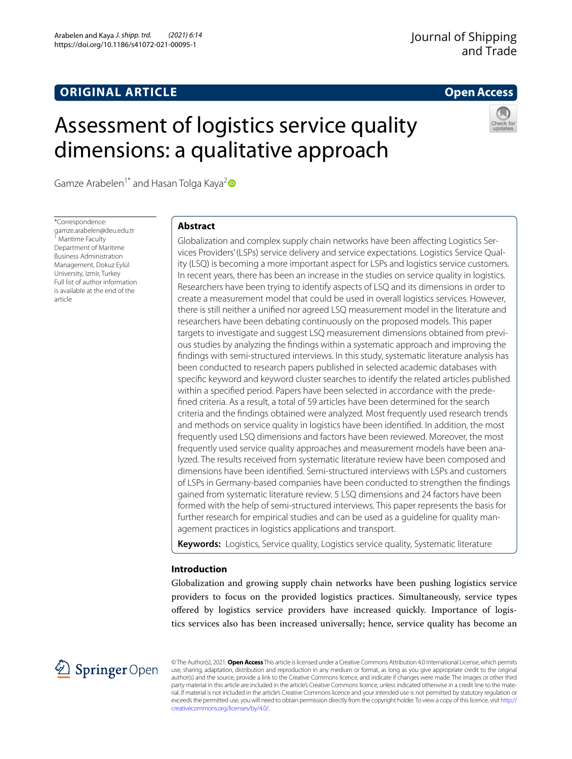## **ORIGINAL ARTICLE**

## **Open Access**

# Assessment of logistics service quality dimensions: a qualitative approach



Gamze Arabelen<sup>1\*</sup> and Hasan Tolga Kaya<sup>[2](http://orcid.org/0000-0003-0150-4182)</sup>

\*Correspondence: gamze.arabelen@deu.edu.tr <sup>1</sup> Maritime Faculty Department of Maritime Business Administration Management, Dokuz Eylül University, Izmir, Turkey Full list of author information is available at the end of the article

## **Abstract**

Globalization and complex supply chain networks have been afecting Logistics Services Providers' (LSPs) service delivery and service expectations. Logistics Service Quality (LSQ) is becoming a more important aspect for LSPs and logistics service customers. In recent years, there has been an increase in the studies on service quality in logistics. Researchers have been trying to identify aspects of LSQ and its dimensions in order to create a measurement model that could be used in overall logistics services. However, there is still neither a unifed nor agreed LSQ measurement model in the literature and researchers have been debating continuously on the proposed models. This paper targets to investigate and suggest LSQ measurement dimensions obtained from previous studies by analyzing the fndings within a systematic approach and improving the fndings with semi-structured interviews. In this study, systematic literature analysis has been conducted to research papers published in selected academic databases with specifc keyword and keyword cluster searches to identify the related articles published within a specifed period. Papers have been selected in accordance with the predefned criteria. As a result, a total of 59 articles have been determined for the search criteria and the fndings obtained were analyzed. Most frequently used research trends and methods on service quality in logistics have been identifed. In addition, the most frequently used LSQ dimensions and factors have been reviewed. Moreover, the most frequently used service quality approaches and measurement models have been analyzed. The results received from systematic literature review have been composed and dimensions have been identifed. Semi-structured interviews with LSPs and customers of LSPs in Germany-based companies have been conducted to strengthen the fndings gained from systematic literature review. 5 LSQ dimensions and 24 factors have been formed with the help of semi-structured interviews. This paper represents the basis for further research for empirical studies and can be used as a guideline for quality management practices in logistics applications and transport.

**Keywords:** Logistics, Service quality, Logistics service quality, Systematic literature

## **Introduction**

Globalization and growing supply chain networks have been pushing logistics service providers to focus on the provided logistics practices. Simultaneously, service types ofered by logistics service providers have increased quickly. Importance of logistics services also has been increased universally; hence, service quality has become an



© The Author(s), 2021. **Open Access** This article is licensed under a Creative Commons Attribution 4.0 International License, which permits use, sharing, adaptation, distribution and reproduction in any medium or format, as long as you give appropriate credit to the original author(s) and the source, provide a link to the Creative Commons licence, and indicate if changes were made. The images or other third party material in this article are included in the article's Creative Commons licence, unless indicated otherwise in a credit line to the material. If material is not included in the article's Creative Commons licence and your intended use is not permitted by statutory regulation or exceeds the permitted use, you will need to obtain permission directly from the copyright holder. To view a copy of this licence, visit [http://](http://creativecommons.org/licenses/by/4.0/) [creativecommons.org/licenses/by/4.0/.](http://creativecommons.org/licenses/by/4.0/)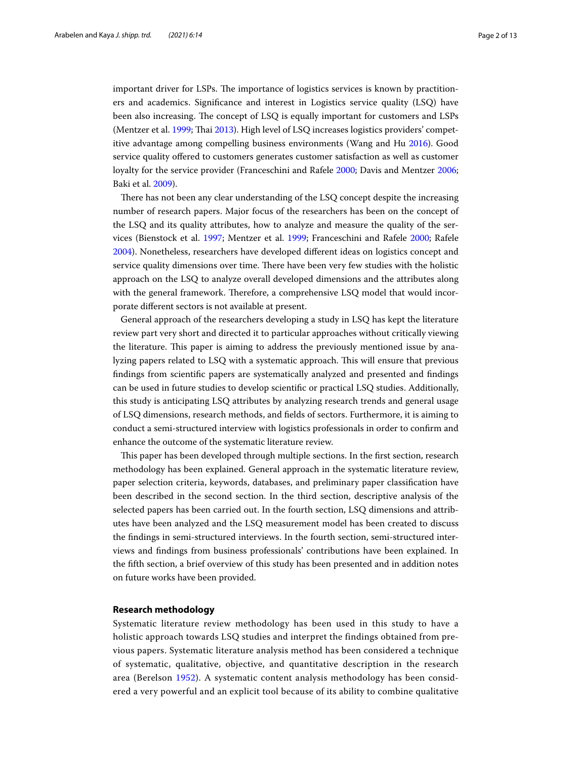important driver for LSPs. The importance of logistics services is known by practitioners and academics. Signifcance and interest in Logistics service quality (LSQ) have been also increasing. The concept of LSQ is equally important for customers and LSPs (Mentzer et al. [1999;](#page-12-0) Thai [2013](#page-12-1)). High level of LSQ increases logistics providers' competitive advantage among compelling business environments (Wang and Hu [2016\)](#page-12-2). Good service quality ofered to customers generates customer satisfaction as well as customer loyalty for the service provider (Franceschini and Rafele [2000;](#page-11-0) Davis and Mentzer [2006](#page-11-1); Baki et al. [2009](#page-11-2)).

There has not been any clear understanding of the LSQ concept despite the increasing number of research papers. Major focus of the researchers has been on the concept of the LSQ and its quality attributes, how to analyze and measure the quality of the services (Bienstock et al. [1997](#page-11-3); Mentzer et al. [1999](#page-12-0); Franceschini and Rafele [2000](#page-11-0); Rafele [2004](#page-12-3)). Nonetheless, researchers have developed diferent ideas on logistics concept and service quality dimensions over time. There have been very few studies with the holistic approach on the LSQ to analyze overall developed dimensions and the attributes along with the general framework. Therefore, a comprehensive LSQ model that would incorporate diferent sectors is not available at present.

General approach of the researchers developing a study in LSQ has kept the literature review part very short and directed it to particular approaches without critically viewing the literature. This paper is aiming to address the previously mentioned issue by analyzing papers related to LSQ with a systematic approach. This will ensure that previous fndings from scientifc papers are systematically analyzed and presented and fndings can be used in future studies to develop scientifc or practical LSQ studies. Additionally, this study is anticipating LSQ attributes by analyzing research trends and general usage of LSQ dimensions, research methods, and felds of sectors. Furthermore, it is aiming to conduct a semi-structured interview with logistics professionals in order to confrm and enhance the outcome of the systematic literature review.

This paper has been developed through multiple sections. In the first section, research methodology has been explained. General approach in the systematic literature review, paper selection criteria, keywords, databases, and preliminary paper classifcation have been described in the second section. In the third section, descriptive analysis of the selected papers has been carried out. In the fourth section, LSQ dimensions and attributes have been analyzed and the LSQ measurement model has been created to discuss the fndings in semi-structured interviews. In the fourth section, semi-structured interviews and fndings from business professionals' contributions have been explained. In the ffth section, a brief overview of this study has been presented and in addition notes on future works have been provided.

## **Research methodology**

Systematic literature review methodology has been used in this study to have a holistic approach towards LSQ studies and interpret the findings obtained from previous papers. Systematic literature analysis method has been considered a technique of systematic, qualitative, objective, and quantitative description in the research area (Berelson [1952\)](#page-11-4). A systematic content analysis methodology has been considered a very powerful and an explicit tool because of its ability to combine qualitative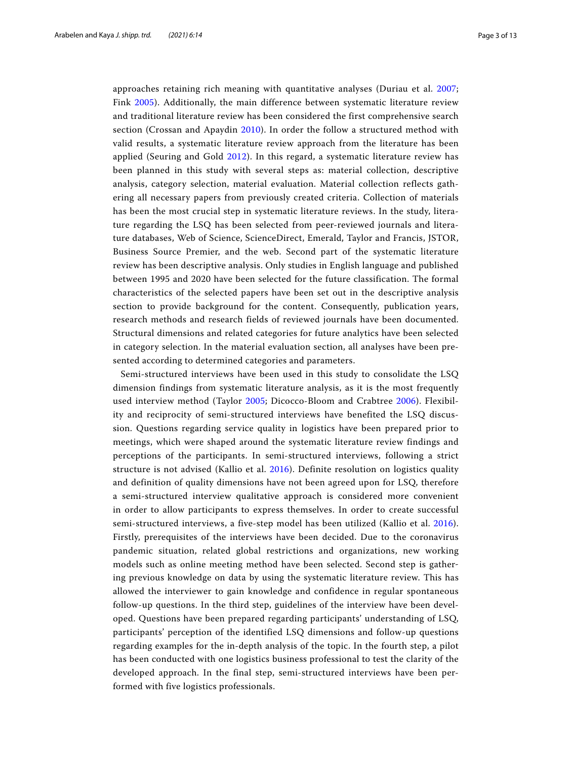approaches retaining rich meaning with quantitative analyses (Duriau et al. [2007](#page-11-5); Fink [2005\)](#page-11-6). Additionally, the main difference between systematic literature review and traditional literature review has been considered the first comprehensive search section (Crossan and Apaydin [2010](#page-11-7)). In order the follow a structured method with valid results, a systematic literature review approach from the literature has been applied (Seuring and Gold [2012\)](#page-12-4). In this regard, a systematic literature review has been planned in this study with several steps as: material collection, descriptive analysis, category selection, material evaluation. Material collection reflects gathering all necessary papers from previously created criteria. Collection of materials has been the most crucial step in systematic literature reviews. In the study, literature regarding the LSQ has been selected from peer-reviewed journals and literature databases, Web of Science, ScienceDirect, Emerald, Taylor and Francis, JSTOR, Business Source Premier, and the web. Second part of the systematic literature review has been descriptive analysis. Only studies in English language and published between 1995 and 2020 have been selected for the future classification. The formal characteristics of the selected papers have been set out in the descriptive analysis section to provide background for the content. Consequently, publication years, research methods and research fields of reviewed journals have been documented. Structural dimensions and related categories for future analytics have been selected in category selection. In the material evaluation section, all analyses have been presented according to determined categories and parameters.

Semi-structured interviews have been used in this study to consolidate the LSQ dimension findings from systematic literature analysis, as it is the most frequently used interview method (Taylor [2005](#page-12-5); Dicocco-Bloom and Crabtree [2006](#page-11-8)). Flexibility and reciprocity of semi-structured interviews have benefited the LSQ discussion. Questions regarding service quality in logistics have been prepared prior to meetings, which were shaped around the systematic literature review findings and perceptions of the participants. In semi-structured interviews, following a strict structure is not advised (Kallio et al. [2016](#page-11-9)). Definite resolution on logistics quality and definition of quality dimensions have not been agreed upon for LSQ, therefore a semi-structured interview qualitative approach is considered more convenient in order to allow participants to express themselves. In order to create successful semi-structured interviews, a five-step model has been utilized (Kallio et al. [2016](#page-11-9)). Firstly, prerequisites of the interviews have been decided. Due to the coronavirus pandemic situation, related global restrictions and organizations, new working models such as online meeting method have been selected. Second step is gathering previous knowledge on data by using the systematic literature review. This has allowed the interviewer to gain knowledge and confidence in regular spontaneous follow-up questions. In the third step, guidelines of the interview have been developed. Questions have been prepared regarding participants' understanding of LSQ, participants' perception of the identified LSQ dimensions and follow-up questions regarding examples for the in-depth analysis of the topic. In the fourth step, a pilot has been conducted with one logistics business professional to test the clarity of the developed approach. In the final step, semi-structured interviews have been performed with five logistics professionals.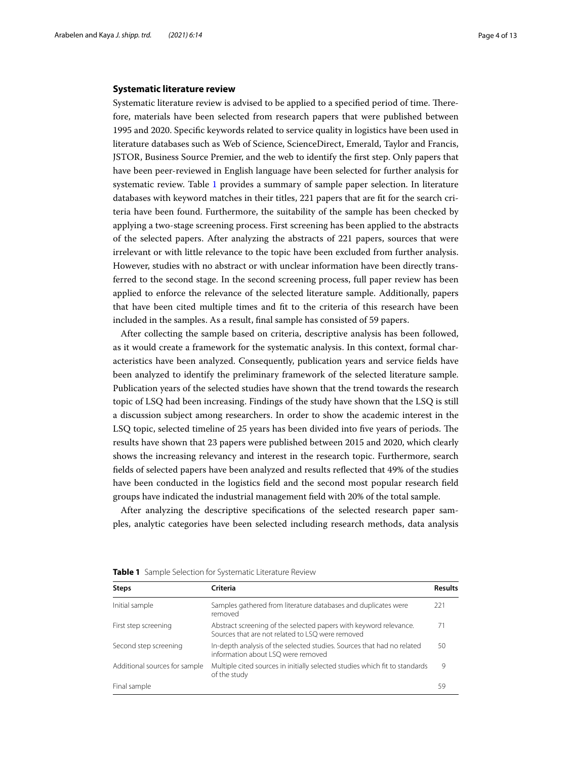#### **Systematic literature review**

Systematic literature review is advised to be applied to a specified period of time. Therefore, materials have been selected from research papers that were published between 1995 and 2020. Specifc keywords related to service quality in logistics have been used in literature databases such as Web of Science, ScienceDirect, Emerald, Taylor and Francis, JSTOR, Business Source Premier, and the web to identify the frst step. Only papers that have been peer-reviewed in English language have been selected for further analysis for systematic review. Table [1](#page-3-0) provides a summary of sample paper selection. In literature databases with keyword matches in their titles, 221 papers that are ft for the search criteria have been found. Furthermore, the suitability of the sample has been checked by applying a two-stage screening process. First screening has been applied to the abstracts of the selected papers. After analyzing the abstracts of 221 papers, sources that were irrelevant or with little relevance to the topic have been excluded from further analysis. However, studies with no abstract or with unclear information have been directly transferred to the second stage. In the second screening process, full paper review has been applied to enforce the relevance of the selected literature sample. Additionally, papers that have been cited multiple times and ft to the criteria of this research have been included in the samples. As a result, fnal sample has consisted of 59 papers.

After collecting the sample based on criteria, descriptive analysis has been followed, as it would create a framework for the systematic analysis. In this context, formal characteristics have been analyzed. Consequently, publication years and service felds have been analyzed to identify the preliminary framework of the selected literature sample. Publication years of the selected studies have shown that the trend towards the research topic of LSQ had been increasing. Findings of the study have shown that the LSQ is still a discussion subject among researchers. In order to show the academic interest in the LSQ topic, selected timeline of 25 years has been divided into five years of periods. The results have shown that 23 papers were published between 2015 and 2020, which clearly shows the increasing relevancy and interest in the research topic. Furthermore, search felds of selected papers have been analyzed and results refected that 49% of the studies have been conducted in the logistics feld and the second most popular research feld groups have indicated the industrial management feld with 20% of the total sample.

After analyzing the descriptive specifcations of the selected research paper samples, analytic categories have been selected including research methods, data analysis

| <b>Steps</b>                  | Criteria                                                                                                              | Results |
|-------------------------------|-----------------------------------------------------------------------------------------------------------------------|---------|
| Initial sample                | Samples gathered from literature databases and duplicates were<br>removed                                             | 221     |
| First step screening          | Abstract screening of the selected papers with keyword relevance.<br>Sources that are not related to LSO were removed | 71      |
| Second step screening         | In-depth analysis of the selected studies. Sources that had no related<br>information about LSQ were removed          | 50      |
| Additional sources for sample | Multiple cited sources in initially selected studies which fit to standards<br>of the study                           | 9       |
| Final sample                  |                                                                                                                       | 59      |

<span id="page-3-0"></span>**Table 1** Sample Selection for Systematic Literature Review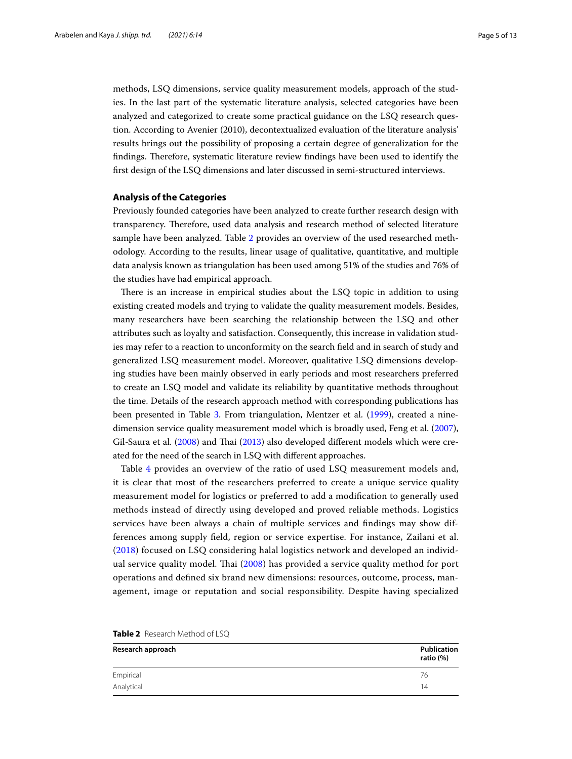methods, LSQ dimensions, service quality measurement models, approach of the studies. In the last part of the systematic literature analysis, selected categories have been analyzed and categorized to create some practical guidance on the LSQ research question. According to Avenier (2010), decontextualized evaluation of the literature analysis' results brings out the possibility of proposing a certain degree of generalization for the findings. Therefore, systematic literature review findings have been used to identify the frst design of the LSQ dimensions and later discussed in semi-structured interviews.

## **Analysis of the Categories**

Previously founded categories have been analyzed to create further research design with transparency. Therefore, used data analysis and research method of selected literature sample have been analyzed. Table [2](#page-4-0) provides an overview of the used researched methodology. According to the results, linear usage of qualitative, quantitative, and multiple data analysis known as triangulation has been used among 51% of the studies and 76% of the studies have had empirical approach.

There is an increase in empirical studies about the LSQ topic in addition to using existing created models and trying to validate the quality measurement models. Besides, many researchers have been searching the relationship between the LSQ and other attributes such as loyalty and satisfaction. Consequently, this increase in validation studies may refer to a reaction to unconformity on the search feld and in search of study and generalized LSQ measurement model. Moreover, qualitative LSQ dimensions developing studies have been mainly observed in early periods and most researchers preferred to create an LSQ model and validate its reliability by quantitative methods throughout the time. Details of the research approach method with corresponding publications has been presented in Table [3.](#page-5-0) From triangulation, Mentzer et al. [\(1999\)](#page-12-0), created a ninedimension service quality measurement model which is broadly used, Feng et al. ([2007](#page-11-10)), Gil-Saura et al. ([2008\)](#page-11-11) and Thai ([2013](#page-12-1)) also developed different models which were created for the need of the search in LSQ with diferent approaches.

Table [4](#page-5-1) provides an overview of the ratio of used LSQ measurement models and, it is clear that most of the researchers preferred to create a unique service quality measurement model for logistics or preferred to add a modifcation to generally used methods instead of directly using developed and proved reliable methods. Logistics services have been always a chain of multiple services and fndings may show differences among supply feld, region or service expertise. For instance, Zailani et al. ([2018](#page-12-6)) focused on LSQ considering halal logistics network and developed an individual service quality model. Tai ([2008\)](#page-12-7) has provided a service quality method for port operations and defned six brand new dimensions: resources, outcome, process, management, image or reputation and social responsibility. Despite having specialized

| Research approach | <b>Publication</b><br>ratio (%) |
|-------------------|---------------------------------|
| Empirical         | 76                              |
| Analytical        | 14                              |

<span id="page-4-0"></span>**Table 2** Research Method of LSQ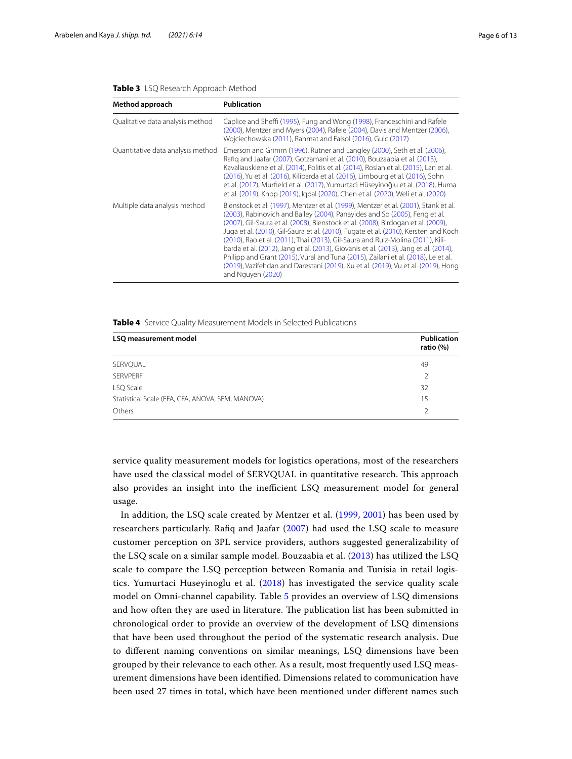<span id="page-5-0"></span>

| Method approach                   | <b>Publication</b>                                                                                                                                                                                                                                                                                                                                                                                                                                                                                                                                                                                                                                                                                                      |
|-----------------------------------|-------------------------------------------------------------------------------------------------------------------------------------------------------------------------------------------------------------------------------------------------------------------------------------------------------------------------------------------------------------------------------------------------------------------------------------------------------------------------------------------------------------------------------------------------------------------------------------------------------------------------------------------------------------------------------------------------------------------------|
| Qualitative data analysis method  | Caplice and Sheffi (1995), Fung and Wong (1998), Franceschini and Rafele<br>(2000), Mentzer and Myers (2004), Rafele (2004), Davis and Mentzer (2006),<br>Wojciechowska (2011), Rahmat and Faisol (2016), Gulc (2017)                                                                                                                                                                                                                                                                                                                                                                                                                                                                                                   |
| Quantitative data analysis method | Emerson and Grimm (1996), Rutner and Langley (2000), Seth et al. (2006),<br>Rafig and Jaafar (2007), Gotzamani et al. (2010), Bouzaabia et al. (2013),<br>Kavaliauskiene et al. (2014), Politis et al. (2014), Roslan et al. (2015), Lan et al.<br>(2016), Yu et al. (2016), Kilibarda et al. (2016), Limbourg et al. (2016), Sohn<br>et al. (2017), Murfield et al. (2017), Yumurtaci Hüseyinoğlu et al. (2018), Huma<br>et al. (2019), Knop (2019), Igbal (2020), Chen et al. (2020), Weli et al. (2020)                                                                                                                                                                                                              |
| Multiple data analysis method     | Bienstock et al. (1997), Mentzer et al. (1999), Mentzer et al. (2001), Stank et al.<br>(2003), Rabinovich and Bailey (2004), Panayides and So (2005), Feng et al.<br>(2007), Gil-Saura et al. (2008), Bienstock et al. (2008), Birdogan et al. (2009),<br>Juga et al. (2010), Gil-Saura et al. (2010), Fugate et al. (2010), Kersten and Koch<br>(2010), Rao et al. (2011), Thai (2013), Gil-Saura and Ruiz-Molina (2011), Kili-<br>barda et al. (2012), Jang et al. (2013), Giovanis et al. (2013), Jang et al. (2014),<br>Philipp and Grant (2015), Vural and Tuna (2015), Zailani et al. (2018), Le et al.<br>(2019), Vazifehdan and Darestani (2019), Xu et al. (2019), Vu et al. (2019), Hong<br>and Nguyen (2020) |

<span id="page-5-1"></span>**Table 4** Service Quality Measurement Models in Selected Publications

| LSQ measurement model                            | <b>Publication</b><br>ratio (%) |
|--------------------------------------------------|---------------------------------|
| SERVQUAL                                         | 49                              |
| <b>SERVPERF</b>                                  | $\mathcal{P}$                   |
| LSQ Scale                                        | 32                              |
| Statistical Scale (EFA, CFA, ANOVA, SEM, MANOVA) | 15                              |
| Others                                           | $\mathcal{L}$                   |

service quality measurement models for logistics operations, most of the researchers have used the classical model of SERVQUAL in quantitative research. This approach also provides an insight into the inefficient LSQ measurement model for general usage.

In addition, the LSQ scale created by Mentzer et al. ([1999,](#page-12-0) [2001](#page-12-8)) has been used by researchers particularly. Rafq and Jaafar ([2007](#page-12-9)) had used the LSQ scale to measure customer perception on 3PL service providers, authors suggested generalizability of the LSQ scale on a similar sample model. Bouzaabia et al. ([2013\)](#page-11-12) has utilized the LSQ scale to compare the LSQ perception between Romania and Tunisia in retail logistics. Yumurtaci Huseyinoglu et al. [\(2018\)](#page-12-10) has investigated the service quality scale model on Omni-channel capability. Table [5](#page-6-0) provides an overview of LSQ dimensions and how often they are used in literature. The publication list has been submitted in chronological order to provide an overview of the development of LSQ dimensions that have been used throughout the period of the systematic research analysis. Due to diferent naming conventions on similar meanings, LSQ dimensions have been grouped by their relevance to each other. As a result, most frequently used LSQ measurement dimensions have been identifed. Dimensions related to communication have been used 27 times in total, which have been mentioned under diferent names such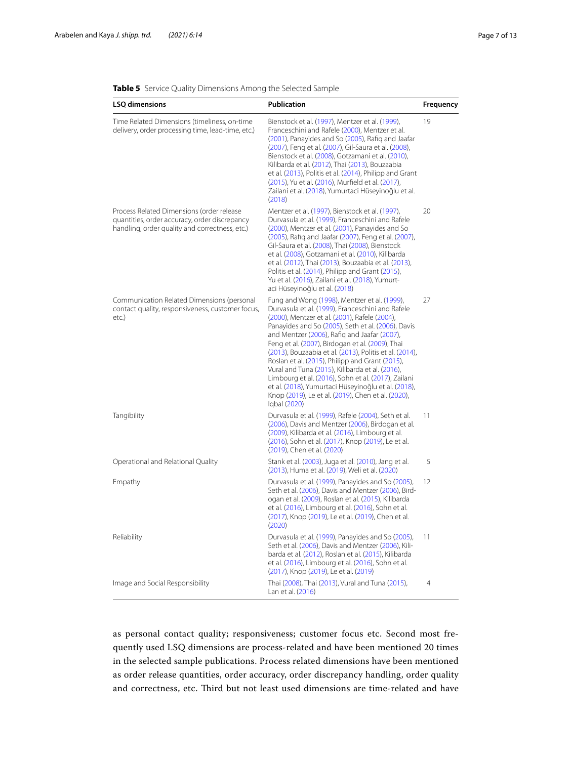| LSQ dimensions                                                                                                                               | Publication                                                                                                                                                                                                                                                                                                                                                                                                                                                                                                                                                                                                                                                      | Frequency      |
|----------------------------------------------------------------------------------------------------------------------------------------------|------------------------------------------------------------------------------------------------------------------------------------------------------------------------------------------------------------------------------------------------------------------------------------------------------------------------------------------------------------------------------------------------------------------------------------------------------------------------------------------------------------------------------------------------------------------------------------------------------------------------------------------------------------------|----------------|
| Time Related Dimensions (timeliness, on-time<br>delivery, order processing time, lead-time, etc.)                                            | Bienstock et al. (1997), Mentzer et al. (1999),<br>Franceschini and Rafele (2000), Mentzer et al.<br>(2001), Panayides and So (2005), Rafiq and Jaafar<br>(2007), Feng et al. (2007), Gil-Saura et al. (2008),<br>Bienstock et al. (2008), Gotzamani et al. (2010),<br>Kilibarda et al. (2012), Thai (2013), Bouzaabia<br>et al. (2013), Politis et al. (2014), Philipp and Grant<br>(2015), Yu et al. (2016), Murfield et al. (2017),<br>Zailani et al. (2018), Yumurtaci Hüseyinoğlu et al.<br>(2018)                                                                                                                                                          | 19             |
| Process Related Dimensions (order release<br>quantities, order accuracy, order discrepancy<br>handling, order quality and correctness, etc.) | Mentzer et al. (1997), Bienstock et al. (1997),<br>Durvasula et al. (1999), Franceschini and Rafele<br>(2000), Mentzer et al. (2001), Panayides and So<br>(2005), Rafiq and Jaafar (2007), Feng et al. (2007),<br>Gil-Saura et al. (2008), Thai (2008), Bienstock<br>et al. (2008), Gotzamani et al. (2010), Kilibarda<br>et al. (2012), Thai (2013), Bouzaabia et al. (2013),<br>Politis et al. (2014), Philipp and Grant (2015),<br>Yu et al. (2016), Zailani et al. (2018), Yumurt-<br>aci Hüseyinoğlu et al. (2018)                                                                                                                                          | 20             |
| Communication Related Dimensions (personal<br>contact quality, responsiveness, customer focus,<br>etc.)                                      | Fung and Wong (1998), Mentzer et al. (1999),<br>Durvasula et al. (1999), Franceschini and Rafele<br>(2000), Mentzer et al. (2001), Rafele (2004),<br>Panayides and So (2005), Seth et al. (2006), Davis<br>and Mentzer (2006), Rafiq and Jaafar (2007),<br>Feng et al. (2007), Birdogan et al. (2009), Thai<br>(2013), Bouzaabia et al. (2013), Politis et al. (2014),<br>Roslan et al. (2015), Philipp and Grant (2015),<br>Vural and Tuna (2015), Kilibarda et al. (2016),<br>Limbourg et al. (2016), Sohn et al. (2017), Zailani<br>et al. (2018), Yumurtaci Hüseyinoğlu et al. (2018),<br>Knop (2019), Le et al. (2019), Chen et al. (2020),<br>Iqbal (2020) | 27             |
| Tangibility                                                                                                                                  | Durvasula et al. (1999), Rafele (2004), Seth et al.<br>(2006), Davis and Mentzer (2006), Birdogan et al.<br>(2009), Kilibarda et al. (2016), Limbourg et al.<br>(2016), Sohn et al. (2017), Knop (2019), Le et al.<br>(2019), Chen et al. (2020)                                                                                                                                                                                                                                                                                                                                                                                                                 | 11             |
| Operational and Relational Quality                                                                                                           | Stank et al. (2003), Juga et al. (2010), Jang et al.<br>(2013), Huma et al. (2019), Weli et al. (2020)                                                                                                                                                                                                                                                                                                                                                                                                                                                                                                                                                           | 5              |
| Empathy                                                                                                                                      | Durvasula et al. (1999), Panayides and So (2005),<br>Seth et al. (2006), Davis and Mentzer (2006), Bird-<br>ogan et al. (2009), Roslan et al. (2015), Kilibarda<br>et al. (2016), Limbourg et al. (2016), Sohn et al.<br>(2017), Knop (2019), Le et al. (2019), Chen et al.<br>(2020)                                                                                                                                                                                                                                                                                                                                                                            | 12             |
| Reliability                                                                                                                                  | Durvasula et al. (1999), Panayides and So (2005),<br>Seth et al. (2006), Davis and Mentzer (2006), Kili-<br>barda et al. (2012), Roslan et al. (2015), Kilibarda<br>et al. (2016), Limbourg et al. (2016), Sohn et al.<br>(2017), Knop (2019), Le et al. (2019)                                                                                                                                                                                                                                                                                                                                                                                                  | 11             |
| Image and Social Responsibility                                                                                                              | Thai (2008), Thai (2013), Vural and Tuna (2015),<br>Lan et al. (2016)                                                                                                                                                                                                                                                                                                                                                                                                                                                                                                                                                                                            | $\overline{4}$ |

<span id="page-6-0"></span>**Table 5** Service Quality Dimensions Among the Selected Sample

as personal contact quality; responsiveness; customer focus etc. Second most frequently used LSQ dimensions are process-related and have been mentioned 20 times in the selected sample publications. Process related dimensions have been mentioned as order release quantities, order accuracy, order discrepancy handling, order quality and correctness, etc. Third but not least used dimensions are time-related and have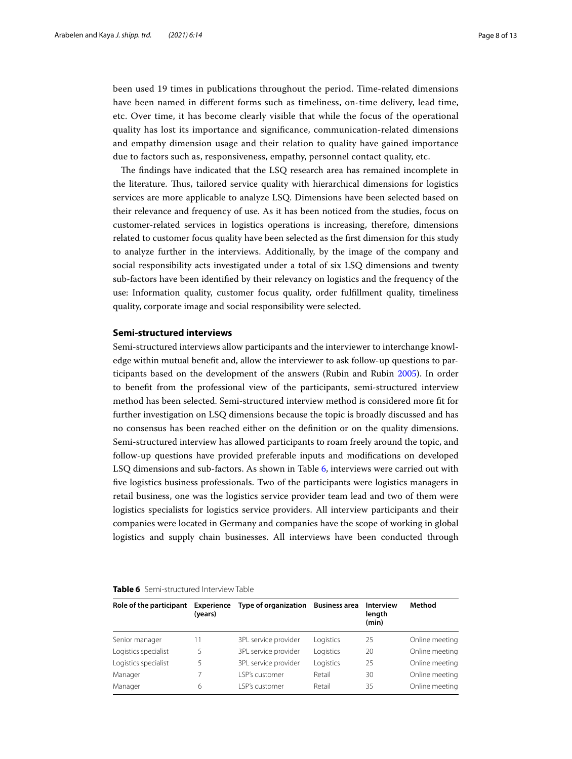been used 19 times in publications throughout the period. Time-related dimensions have been named in diferent forms such as timeliness, on-time delivery, lead time, etc. Over time, it has become clearly visible that while the focus of the operational quality has lost its importance and signifcance, communication-related dimensions and empathy dimension usage and their relation to quality have gained importance due to factors such as, responsiveness, empathy, personnel contact quality, etc.

The findings have indicated that the LSQ research area has remained incomplete in the literature. Tus, tailored service quality with hierarchical dimensions for logistics services are more applicable to analyze LSQ. Dimensions have been selected based on their relevance and frequency of use. As it has been noticed from the studies, focus on customer-related services in logistics operations is increasing, therefore, dimensions related to customer focus quality have been selected as the frst dimension for this study to analyze further in the interviews. Additionally, by the image of the company and social responsibility acts investigated under a total of six LSQ dimensions and twenty sub-factors have been identifed by their relevancy on logistics and the frequency of the use: Information quality, customer focus quality, order fulfllment quality, timeliness quality, corporate image and social responsibility were selected.

## **Semi‑structured interviews**

Semi-structured interviews allow participants and the interviewer to interchange knowledge within mutual beneft and, allow the interviewer to ask follow-up questions to participants based on the development of the answers (Rubin and Rubin [2005\)](#page-12-39). In order to beneft from the professional view of the participants, semi-structured interview method has been selected. Semi-structured interview method is considered more ft for further investigation on LSQ dimensions because the topic is broadly discussed and has no consensus has been reached either on the defnition or on the quality dimensions. Semi-structured interview has allowed participants to roam freely around the topic, and follow-up questions have provided preferable inputs and modifcations on developed LSQ dimensions and sub-factors. As shown in Table [6,](#page-7-0) interviews were carried out with fve logistics business professionals. Two of the participants were logistics managers in retail business, one was the logistics service provider team lead and two of them were logistics specialists for logistics service providers. All interview participants and their companies were located in Germany and companies have the scope of working in global logistics and supply chain businesses. All interviews have been conducted through

| Role of the participant | Experience<br>(years) | Type of organization Business area |           | <b>Interview</b><br>length<br>(min) | Method         |
|-------------------------|-----------------------|------------------------------------|-----------|-------------------------------------|----------------|
| Senior manager          | 11                    | 3PL service provider               | Logistics | 25                                  | Online meeting |
| Logistics specialist    | 5                     | 3PL service provider               | Logistics | 20                                  | Online meeting |
| Logistics specialist    | 5                     | 3PL service provider               | Logistics | 25                                  | Online meeting |
| Manager                 |                       | <b>LSP's customer</b>              | Retail    | 30                                  | Online meeting |
| Manager                 | 6                     | I SP's customer                    | Retail    | 35                                  | Online meeting |
|                         |                       |                                    |           |                                     |                |

#### <span id="page-7-0"></span>**Table 6** Semi-structured Interview Table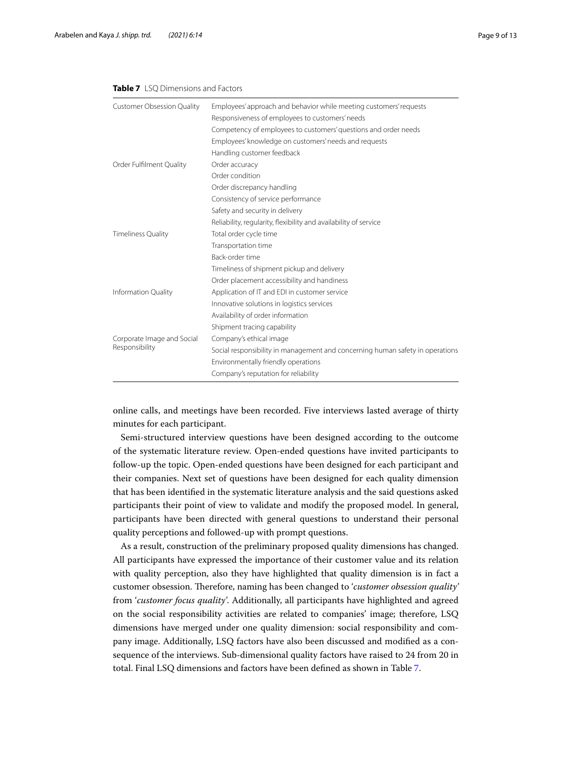## <span id="page-8-0"></span>**Table 7** LSQ Dimensions and Factors

| <b>Customer Obsession Quality</b>            | Employees' approach and behavior while meeting customers' requests            |  |
|----------------------------------------------|-------------------------------------------------------------------------------|--|
|                                              | Responsiveness of employees to customers' needs                               |  |
|                                              | Competency of employees to customers' questions and order needs               |  |
|                                              | Employees' knowledge on customers' needs and requests                         |  |
|                                              | Handling customer feedback                                                    |  |
| Order Fulfilment Quality                     | Order accuracy                                                                |  |
|                                              | Order condition                                                               |  |
|                                              | Order discrepancy handling                                                    |  |
|                                              | Consistency of service performance                                            |  |
|                                              | Safety and security in delivery                                               |  |
|                                              | Reliability, regularity, flexibility and availability of service              |  |
| <b>Timeliness Quality</b>                    | Total order cycle time                                                        |  |
|                                              | Transportation time                                                           |  |
|                                              | Back-order time                                                               |  |
|                                              | Timeliness of shipment pickup and delivery                                    |  |
|                                              | Order placement accessibility and handiness                                   |  |
| <b>Information Quality</b>                   | Application of IT and EDI in customer service                                 |  |
|                                              | Innovative solutions in logistics services                                    |  |
|                                              | Availability of order information                                             |  |
|                                              | Shipment tracing capability                                                   |  |
| Corporate Image and Social<br>Responsibility | Company's ethical image                                                       |  |
|                                              | Social responsibility in management and concerning human safety in operations |  |
|                                              | Environmentally friendly operations                                           |  |
|                                              | Company's reputation for reliability                                          |  |

online calls, and meetings have been recorded. Five interviews lasted average of thirty minutes for each participant.

Semi-structured interview questions have been designed according to the outcome of the systematic literature review. Open-ended questions have invited participants to follow-up the topic. Open-ended questions have been designed for each participant and their companies. Next set of questions have been designed for each quality dimension that has been identifed in the systematic literature analysis and the said questions asked participants their point of view to validate and modify the proposed model. In general, participants have been directed with general questions to understand their personal quality perceptions and followed-up with prompt questions.

As a result, construction of the preliminary proposed quality dimensions has changed. All participants have expressed the importance of their customer value and its relation with quality perception, also they have highlighted that quality dimension is in fact a customer obsession. Therefore, naming has been changed to '*customer obsession quality'* from '*customer focus quality'*. Additionally, all participants have highlighted and agreed on the social responsibility activities are related to companies' image; therefore, LSQ dimensions have merged under one quality dimension: social responsibility and company image. Additionally, LSQ factors have also been discussed and modifed as a consequence of the interviews. Sub-dimensional quality factors have raised to 24 from 20 in total. Final LSQ dimensions and factors have been defned as shown in Table [7](#page-8-0).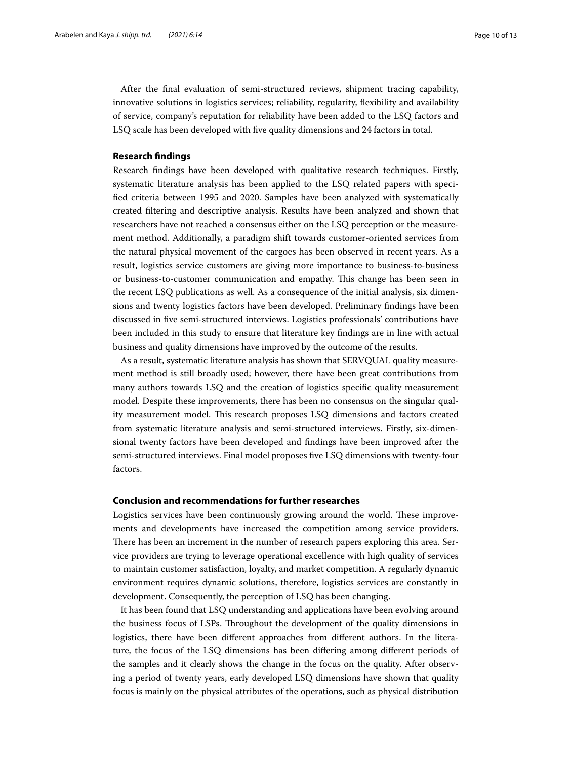After the fnal evaluation of semi-structured reviews, shipment tracing capability, innovative solutions in logistics services; reliability, regularity, fexibility and availability of service, company's reputation for reliability have been added to the LSQ factors and LSQ scale has been developed with fve quality dimensions and 24 factors in total.

## **Research fndings**

Research fndings have been developed with qualitative research techniques. Firstly, systematic literature analysis has been applied to the LSQ related papers with specifed criteria between 1995 and 2020. Samples have been analyzed with systematically created fltering and descriptive analysis. Results have been analyzed and shown that researchers have not reached a consensus either on the LSQ perception or the measurement method. Additionally, a paradigm shift towards customer-oriented services from the natural physical movement of the cargoes has been observed in recent years. As a result, logistics service customers are giving more importance to business-to-business or business-to-customer communication and empathy. Tis change has been seen in the recent LSQ publications as well. As a consequence of the initial analysis, six dimensions and twenty logistics factors have been developed. Preliminary fndings have been discussed in fve semi-structured interviews. Logistics professionals' contributions have been included in this study to ensure that literature key fndings are in line with actual business and quality dimensions have improved by the outcome of the results.

As a result, systematic literature analysis has shown that SERVQUAL quality measurement method is still broadly used; however, there have been great contributions from many authors towards LSQ and the creation of logistics specifc quality measurement model. Despite these improvements, there has been no consensus on the singular quality measurement model. This research proposes LSQ dimensions and factors created from systematic literature analysis and semi-structured interviews. Firstly, six-dimensional twenty factors have been developed and fndings have been improved after the semi-structured interviews. Final model proposes fve LSQ dimensions with twenty-four factors.

## **Conclusion and recommendations for further researches**

Logistics services have been continuously growing around the world. These improvements and developments have increased the competition among service providers. There has been an increment in the number of research papers exploring this area. Service providers are trying to leverage operational excellence with high quality of services to maintain customer satisfaction, loyalty, and market competition. A regularly dynamic environment requires dynamic solutions, therefore, logistics services are constantly in development. Consequently, the perception of LSQ has been changing.

It has been found that LSQ understanding and applications have been evolving around the business focus of LSPs. Troughout the development of the quality dimensions in logistics, there have been diferent approaches from diferent authors. In the literature, the focus of the LSQ dimensions has been difering among diferent periods of the samples and it clearly shows the change in the focus on the quality. After observing a period of twenty years, early developed LSQ dimensions have shown that quality focus is mainly on the physical attributes of the operations, such as physical distribution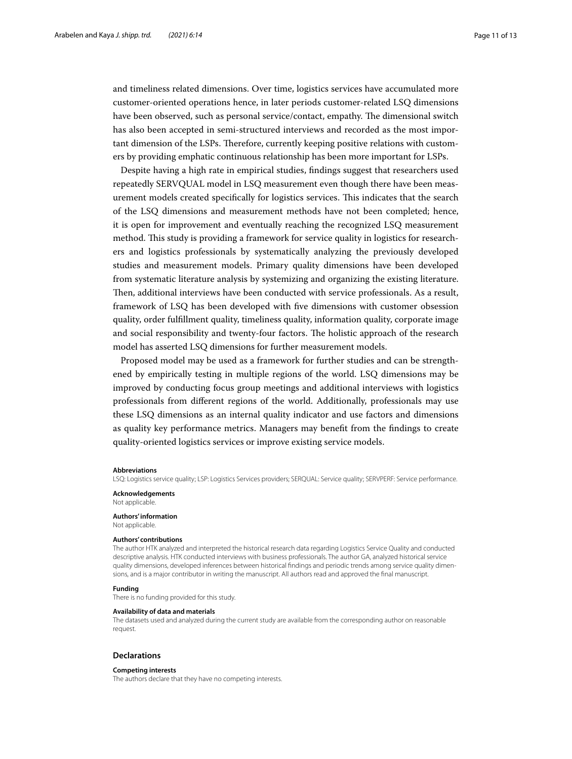and timeliness related dimensions. Over time, logistics services have accumulated more customer-oriented operations hence, in later periods customer-related LSQ dimensions have been observed, such as personal service/contact, empathy. The dimensional switch has also been accepted in semi-structured interviews and recorded as the most important dimension of the LSPs. Therefore, currently keeping positive relations with customers by providing emphatic continuous relationship has been more important for LSPs.

Despite having a high rate in empirical studies, fndings suggest that researchers used repeatedly SERVQUAL model in LSQ measurement even though there have been measurement models created specifcally for logistics services. Tis indicates that the search of the LSQ dimensions and measurement methods have not been completed; hence, it is open for improvement and eventually reaching the recognized LSQ measurement method. This study is providing a framework for service quality in logistics for researchers and logistics professionals by systematically analyzing the previously developed studies and measurement models. Primary quality dimensions have been developed from systematic literature analysis by systemizing and organizing the existing literature. Then, additional interviews have been conducted with service professionals. As a result, framework of LSQ has been developed with fve dimensions with customer obsession quality, order fulfllment quality, timeliness quality, information quality, corporate image and social responsibility and twenty-four factors. The holistic approach of the research model has asserted LSQ dimensions for further measurement models.

Proposed model may be used as a framework for further studies and can be strengthened by empirically testing in multiple regions of the world. LSQ dimensions may be improved by conducting focus group meetings and additional interviews with logistics professionals from diferent regions of the world. Additionally, professionals may use these LSQ dimensions as an internal quality indicator and use factors and dimensions as quality key performance metrics. Managers may beneft from the fndings to create quality-oriented logistics services or improve existing service models.

#### **Abbreviations**

LSQ: Logistics service quality; LSP: Logistics Services providers; SERQUAL: Service quality; SERVPERF: Service performance.

**Acknowledgements** Not applicable.

#### **Authors' information**

Not applicable.

#### **Authors' contributions**

The author HTK analyzed and interpreted the historical research data regarding Logistics Service Quality and conducted descriptive analysis. HTK conducted interviews with business professionals. The author GA, analyzed historical service quality dimensions, developed inferences between historical fndings and periodic trends among service quality dimensions, and is a major contributor in writing the manuscript. All authors read and approved the fnal manuscript.

#### **Funding**

There is no funding provided for this study.

#### **Availability of data and materials**

The datasets used and analyzed during the current study are available from the corresponding author on reasonable request.

#### **Declarations**

#### **Competing interests**

The authors declare that they have no competing interests.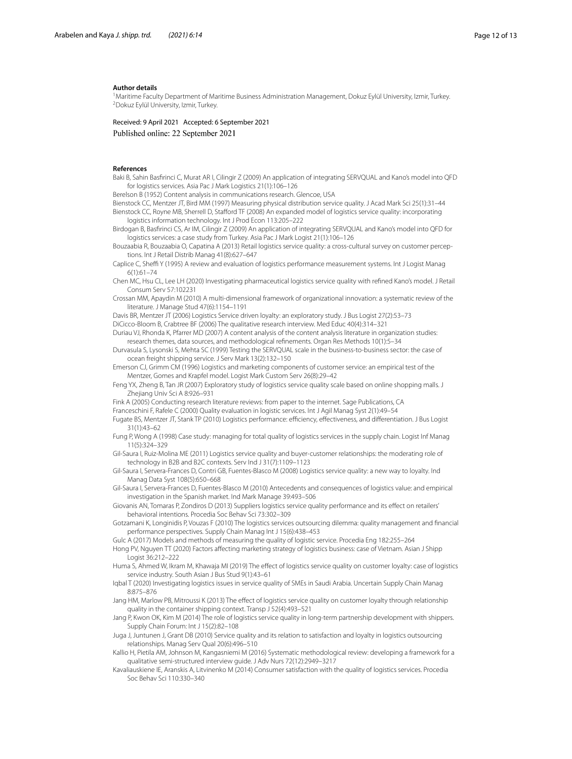#### **Author details**

<sup>1</sup> Maritime Faculty Department of Maritime Business Administration Management, Dokuz Eylül University, Izmir, Turkey.<br><sup>2</sup>Dokuz Evlül University Izmir Turkey <sup>2</sup>Dokuz Eylül University, Izmir, Turkey.

Received: 9 April 2021 Accepted: 6 September 2021 Published online: 22 September 2021

#### **References**

<span id="page-11-2"></span>Baki B, Sahin Basfrinci C, Murat AR I, Cilingir Z (2009) An application of integrating SERVQUAL and Kano's model into QFD for logistics services. Asia Pac J Mark Logistics 21(1):106–126

<span id="page-11-4"></span>Berelson B (1952) Content analysis in communications research. Glencoe, USA

<span id="page-11-22"></span><span id="page-11-3"></span>Bienstock CC, Mentzer JT, Bird MM (1997) Measuring physical distribution service quality. J Acad Mark Sci 25(1):31–44 Bienstock CC, Royne MB, Sherrell D, Staford TF (2008) An expanded model of logistics service quality: incorporating logistics information technology. Int J Prod Econ 113:205–222

<span id="page-11-23"></span>Birdogan B, Basfrinci CS, Ar IM, Cilingir Z (2009) An application of integrating SERVQUAL and Kano's model into QFD for logistics services: a case study from Turkey. Asia Pac J Mark Logist 21(1):106–126

<span id="page-11-12"></span>Bouzaabia R, Bouzaabia O, Capatina A (2013) Retail logistics service quality: a cross-cultural survey on customer perceptions. Int J Retail Distrib Manag 41(8):627–647

<span id="page-11-13"></span>Caplice C, Sheffi Y (1995) A review and evaluation of logistics performance measurement systems. Int J Logist Manag 6(1):61–74

- <span id="page-11-21"></span>Chen MC, Hsu CL, Lee LH (2020) Investigating pharmaceutical logistics service quality with refned Kano's model. J Retail Consum Serv 57:102231
- <span id="page-11-7"></span>Crossan MM, Apaydin M (2010) A multi-dimensional framework of organizational innovation: a systematic review of the literature. J Manage Stud 47(6):1154–1191

<span id="page-11-1"></span>Davis BR, Mentzer JT (2006) Logistics Service driven loyalty: an exploratory study. J Bus Logist 27(2):53–73

<span id="page-11-8"></span>DiCicco-Bloom B, Crabtree BF (2006) The qualitative research interview. Med Educ 40(4):314–321

<span id="page-11-5"></span>Duriau VJ, Rhonda K, Pfarrer MD (2007) A content analysis of the content analysis literature in organization studies: research themes, data sources, and methodological refnements. Organ Res Methods 10(1):5–34

<span id="page-11-32"></span>Durvasula S, Lysonski S, Mehta SC (1999) Testing the SERVQUAL scale in the business-to-business sector: the case of ocean freight shipping service. J Serv Mark 13(2):132–150

<span id="page-11-16"></span>Emerson CJ, Grimm CM (1996) Logistics and marketing components of customer service: an empirical test of the Mentzer, Gomes and Krapfel model. Logist Mark Custom Serv 26(8):29–42

<span id="page-11-10"></span>Feng YX, Zheng B, Tan JR (2007) Exploratory study of logistics service quality scale based on online shopping malls. J Zhejiang Univ Sci A 8:926–931

<span id="page-11-6"></span>Fink A (2005) Conducting research literature reviews: from paper to the internet. Sage Publications, CA

<span id="page-11-0"></span>Franceschini F, Rafele C (2000) Quality evaluation in logistic services. Int J Agil Manag Syst 2(1):49–54

<span id="page-11-26"></span>Fugate BS, Mentzer JT, Stank TP (2010) Logistics performance: efficiency, effectiveness, and differentiation. J Bus Logist 31(1):43–62

<span id="page-11-14"></span>Fung P, Wong A (1998) Case study: managing for total quality of logistics services in the supply chain. Logist Inf Manag 11(5):324–329

<span id="page-11-27"></span>Gil-Saura I, Ruiz-Molina ME (2011) Logistics service quality and buyer-customer relationships: the moderating role of technology in B2B and B2C contexts. Serv Ind J 31(7):1109–1123

<span id="page-11-11"></span>Gil-Saura I, Servera-Frances D, Contri GB, Fuentes-Blasco M (2008) Logistics service quality: a new way to loyalty. Ind Manag Data Syst 108(5):650–668

<span id="page-11-25"></span>Gil-Saura I, Servera-Frances D, Fuentes-Blasco M (2010) Antecedents and consequences of logistics value: and empirical investigation in the Spanish market. Ind Mark Manage 39:493–506

<span id="page-11-29"></span>Giovanis AN, Tomaras P, Zondiros D (2013) Suppliers logistics service quality performance and its effect on retailers' behavioral intentions. Procedia Soc Behav Sci 73:302–309

<span id="page-11-17"></span>Gotzamani K, Longinidis P, Vouzas F (2010) The logistics services outsourcing dilemma: quality management and fnancial performance perspectives. Supply Chain Manag Int J 15(6):438–453

<span id="page-11-15"></span>Gulc A (2017) Models and methods of measuring the quality of logistic service. Procedia Eng 182:255–264

<span id="page-11-31"></span>Hong PV, Nguyen TT (2020) Factors afecting marketing strategy of logistics business: case of Vietnam. Asian J Shipp Logist 36:212–222

<span id="page-11-19"></span>Huma S, Ahmed W, Ikram M, Khawaja MI (2019) The efect of logistics service quality on customer loyalty: case of logistics service industry. South Asian J Bus Stud 9(1):43–61

<span id="page-11-20"></span>Iqbal T (2020) Investigating logistics issues in service quality of SMEs in Saudi Arabia. Uncertain Supply Chain Manag 8:875–876

<span id="page-11-28"></span>Jang HM, Marlow PB, Mitroussi K (2013) The efect of logistics service quality on customer loyalty through relationship quality in the container shipping context. Transp J 52(4):493–521

<span id="page-11-30"></span>Jang P, Kwon OK, Kim M (2014) The role of logistics service quality in long-term partnership development with shippers. Supply Chain Forum: Int J 15(2):82–108

<span id="page-11-24"></span>Juga J, Juntunen J, Grant DB (2010) Service quality and its relation to satisfaction and loyalty in logistics outsourcing relationships. Manag Serv Qual 20(6):496–510

<span id="page-11-9"></span>Kallio H, Pietila AM, Johnson M, Kangasniemi M (2016) Systematic methodological review: developing a framework for a qualitative semi-structured interview guide. J Adv Nurs 72(12):2949–3217

<span id="page-11-18"></span>Kavaliauskiene IE, Aranskis A, Litvinenko M (2014) Consumer satisfaction with the quality of logistics services. Procedia Soc Behav Sci 110:330–340